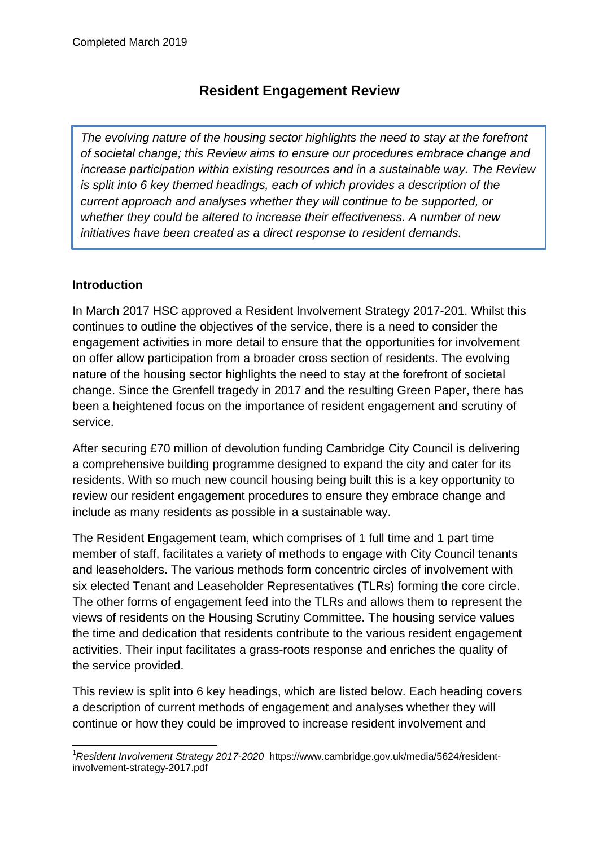# **Resident Engagement Review**

*The evolving nature of the housing sector highlights the need to stay at the forefront of societal change; this Review aims to ensure our procedures embrace change and increase participation within existing resources and in a sustainable way. The Review is split into 6 key themed headings, each of which provides a description of the current approach and analyses whether they will continue to be supported, or whether they could be altered to increase their effectiveness. A number of new initiatives have been created as a direct response to resident demands.*

#### **Introduction**

In March 2017 HSC approved a Resident Involvement Strategy 2017-201. Whilst this continues to outline the objectives of the service, there is a need to consider the engagement activities in more detail to ensure that the opportunities for involvement on offer allow participation from a broader cross section of residents. The evolving nature of the housing sector highlights the need to stay at the forefront of societal change. Since the Grenfell tragedy in 2017 and the resulting Green Paper, there has been a heightened focus on the importance of resident engagement and scrutiny of service.

After securing £70 million of devolution funding Cambridge City Council is delivering a comprehensive building programme designed to expand the city and cater for its residents. With so much new council housing being built this is a key opportunity to review our resident engagement procedures to ensure they embrace change and include as many residents as possible in a sustainable way.

The Resident Engagement team, which comprises of 1 full time and 1 part time member of staff, facilitates a variety of methods to engage with City Council tenants and leaseholders. The various methods form concentric circles of involvement with six elected Tenant and Leaseholder Representatives (TLRs) forming the core circle. The other forms of engagement feed into the TLRs and allows them to represent the views of residents on the Housing Scrutiny Committee. The housing service values the time and dedication that residents contribute to the various resident engagement activities. Their input facilitates a grass-roots response and enriches the quality of the service provided.

This review is split into 6 key headings, which are listed below. Each heading covers a description of current methods of engagement and analyses whether they will continue or how they could be improved to increase resident involvement and

<sup>1</sup> <sup>1</sup>*Resident Involvement Strategy 2017-2020* https://www.cambridge.gov.uk/media/5624/residentinvolvement-strategy-2017.pdf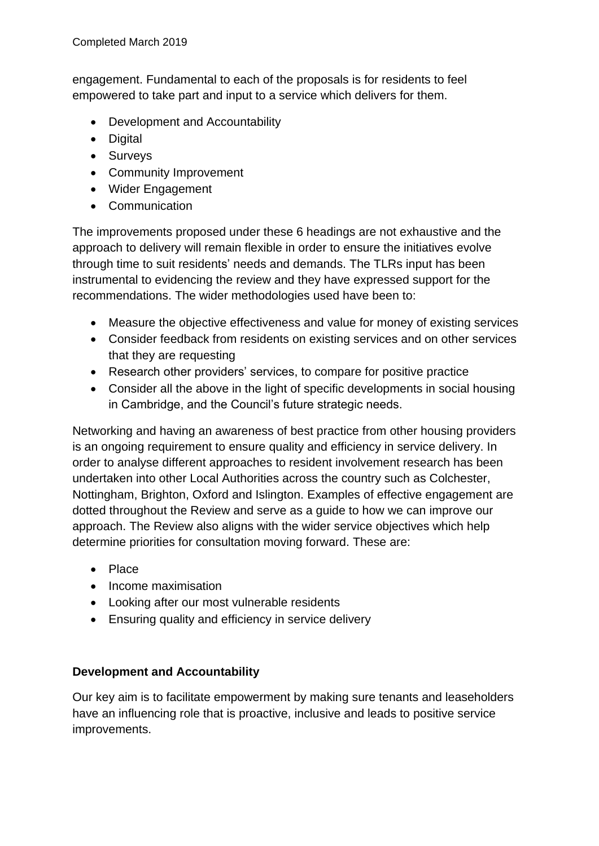engagement. Fundamental to each of the proposals is for residents to feel empowered to take part and input to a service which delivers for them.

- Development and Accountability
- Digital
- Surveys
- Community Improvement
- Wider Engagement
- Communication

The improvements proposed under these 6 headings are not exhaustive and the approach to delivery will remain flexible in order to ensure the initiatives evolve through time to suit residents' needs and demands. The TLRs input has been instrumental to evidencing the review and they have expressed support for the recommendations. The wider methodologies used have been to:

- Measure the objective effectiveness and value for money of existing services
- Consider feedback from residents on existing services and on other services that they are requesting
- Research other providers' services, to compare for positive practice
- Consider all the above in the light of specific developments in social housing in Cambridge, and the Council's future strategic needs.

Networking and having an awareness of best practice from other housing providers is an ongoing requirement to ensure quality and efficiency in service delivery. In order to analyse different approaches to resident involvement research has been undertaken into other Local Authorities across the country such as Colchester, Nottingham, Brighton, Oxford and Islington. Examples of effective engagement are dotted throughout the Review and serve as a guide to how we can improve our approach. The Review also aligns with the wider service objectives which help determine priorities for consultation moving forward. These are:

- Place
- Income maximisation
- Looking after our most vulnerable residents
- Ensuring quality and efficiency in service delivery

#### **Development and Accountability**

Our key aim is to facilitate empowerment by making sure tenants and leaseholders have an influencing role that is proactive, inclusive and leads to positive service improvements.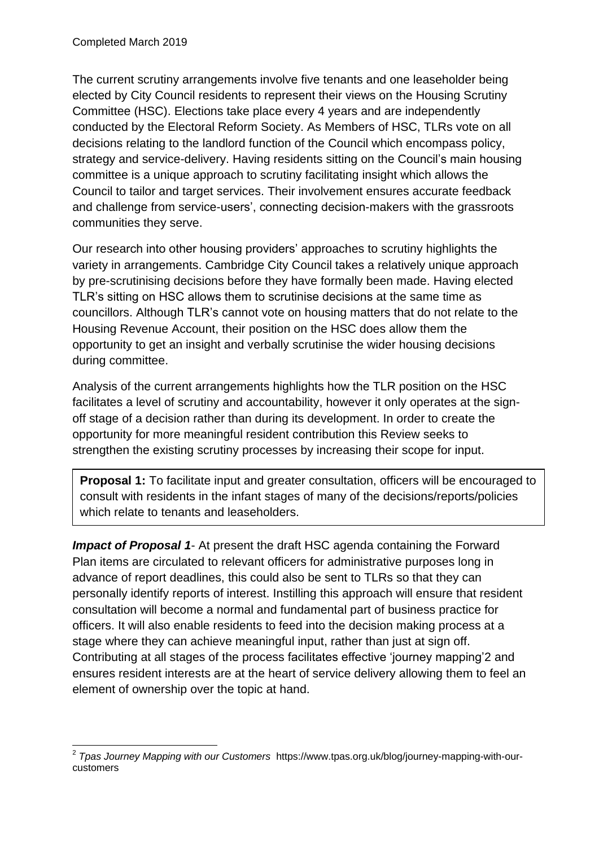The current scrutiny arrangements involve five tenants and one leaseholder being elected by City Council residents to represent their views on the Housing Scrutiny Committee (HSC). Elections take place every 4 years and are independently conducted by the Electoral Reform Society. As Members of HSC, TLRs vote on all decisions relating to the landlord function of the Council which encompass policy, strategy and service-delivery. Having residents sitting on the Council's main housing committee is a unique approach to scrutiny facilitating insight which allows the Council to tailor and target services. Their involvement ensures accurate feedback and challenge from service-users', connecting decision-makers with the grassroots communities they serve.

Our research into other housing providers' approaches to scrutiny highlights the variety in arrangements. Cambridge City Council takes a relatively unique approach by pre-scrutinising decisions before they have formally been made. Having elected TLR's sitting on HSC allows them to scrutinise decisions at the same time as councillors. Although TLR's cannot vote on housing matters that do not relate to the Housing Revenue Account, their position on the HSC does allow them the opportunity to get an insight and verbally scrutinise the wider housing decisions during committee.

Analysis of the current arrangements highlights how the TLR position on the HSC facilitates a level of scrutiny and accountability, however it only operates at the signoff stage of a decision rather than during its development. In order to create the opportunity for more meaningful resident contribution this Review seeks to strengthen the existing scrutiny processes by increasing their scope for input.

**Proposal 1:** To facilitate input and greater consultation, officers will be encouraged to consult with residents in the infant stages of many of the decisions/reports/policies which relate to tenants and leaseholders.

*Impact of Proposal 1*- At present the draft HSC agenda containing the Forward Plan items are circulated to relevant officers for administrative purposes long in advance of report deadlines, this could also be sent to TLRs so that they can personally identify reports of interest. Instilling this approach will ensure that resident consultation will become a normal and fundamental part of business practice for officers. It will also enable residents to feed into the decision making process at a stage where they can achieve meaningful input, rather than just at sign off. Contributing at all stages of the process facilitates effective 'journey mapping'2 and ensures resident interests are at the heart of service delivery allowing them to feel an element of ownership over the topic at hand.

 2 *Tpas Journey Mapping with our Customers* https://www.tpas.org.uk/blog/journey-mapping-with-ourcustomers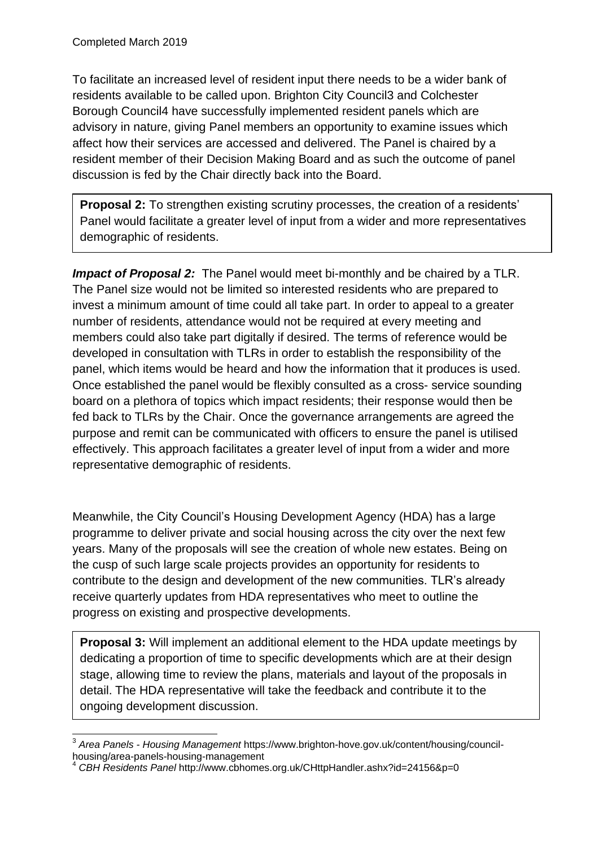To facilitate an increased level of resident input there needs to be a wider bank of residents available to be called upon. Brighton City Council3 and Colchester Borough Council4 have successfully implemented resident panels which are advisory in nature, giving Panel members an opportunity to examine issues which affect how their services are accessed and delivered. The Panel is chaired by a resident member of their Decision Making Board and as such the outcome of panel discussion is fed by the Chair directly back into the Board.

**Proposal 2:** To strengthen existing scrutiny processes, the creation of a residents' Panel would facilitate a greater level of input from a wider and more representatives demographic of residents.

*Impact of Proposal 2:* The Panel would meet bi-monthly and be chaired by a TLR. The Panel size would not be limited so interested residents who are prepared to invest a minimum amount of time could all take part. In order to appeal to a greater number of residents, attendance would not be required at every meeting and members could also take part digitally if desired. The terms of reference would be developed in consultation with TLRs in order to establish the responsibility of the panel, which items would be heard and how the information that it produces is used. Once established the panel would be flexibly consulted as a cross- service sounding board on a plethora of topics which impact residents; their response would then be fed back to TLRs by the Chair. Once the governance arrangements are agreed the purpose and remit can be communicated with officers to ensure the panel is utilised effectively. This approach facilitates a greater level of input from a wider and more representative demographic of residents.

Meanwhile, the City Council's Housing Development Agency (HDA) has a large programme to deliver private and social housing across the city over the next few years. Many of the proposals will see the creation of whole new estates. Being on the cusp of such large scale projects provides an opportunity for residents to contribute to the design and development of the new communities. TLR's already receive quarterly updates from HDA representatives who meet to outline the progress on existing and prospective developments.

**Proposal 3:** Will implement an additional element to the HDA update meetings by dedicating a proportion of time to specific developments which are at their design stage, allowing time to review the plans, materials and layout of the proposals in detail. The HDA representative will take the feedback and contribute it to the ongoing development discussion.

 <sup>3</sup> *Area Panels - Housing Management* https://www.brighton-hove.gov.uk/content/housing/councilhousing/area-panels-housing-management

<sup>4</sup> *CBH Residents Panel* http://www.cbhomes.org.uk/CHttpHandler.ashx?id=24156&p=0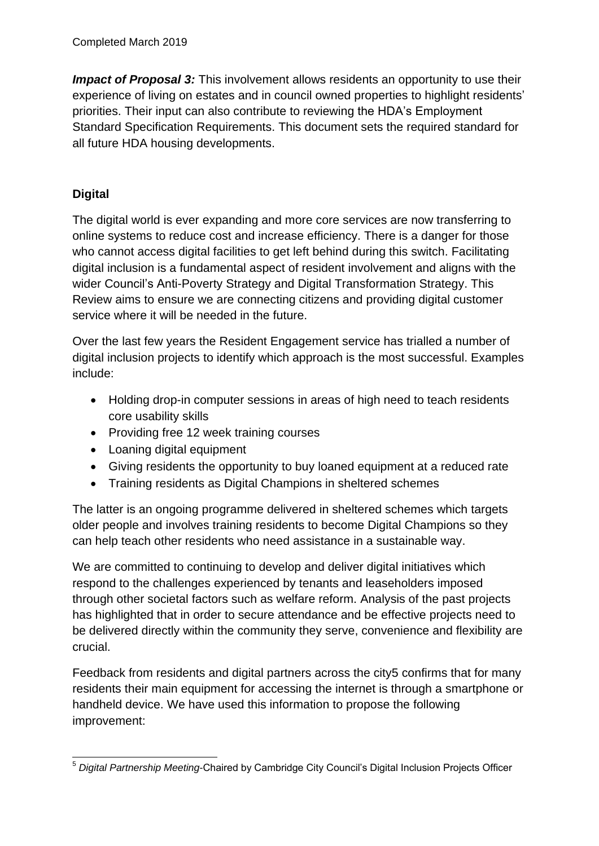*Impact of Proposal 3:* This involvement allows residents an opportunity to use their experience of living on estates and in council owned properties to highlight residents' priorities. Their input can also contribute to reviewing the HDA's Employment Standard Specification Requirements. This document sets the required standard for all future HDA housing developments.

## **Digital**

The digital world is ever expanding and more core services are now transferring to online systems to reduce cost and increase efficiency. There is a danger for those who cannot access digital facilities to get left behind during this switch. Facilitating digital inclusion is a fundamental aspect of resident involvement and aligns with the wider Council's Anti-Poverty Strategy and Digital Transformation Strategy. This Review aims to ensure we are connecting citizens and providing digital customer service where it will be needed in the future.

Over the last few years the Resident Engagement service has trialled a number of digital inclusion projects to identify which approach is the most successful. Examples include:

- Holding drop-in computer sessions in areas of high need to teach residents core usability skills
- Providing free 12 week training courses
- Loaning digital equipment
- Giving residents the opportunity to buy loaned equipment at a reduced rate
- Training residents as Digital Champions in sheltered schemes

The latter is an ongoing programme delivered in sheltered schemes which targets older people and involves training residents to become Digital Champions so they can help teach other residents who need assistance in a sustainable way.

We are committed to continuing to develop and deliver digital initiatives which respond to the challenges experienced by tenants and leaseholders imposed through other societal factors such as welfare reform. Analysis of the past projects has highlighted that in order to secure attendance and be effective projects need to be delivered directly within the community they serve, convenience and flexibility are crucial.

Feedback from residents and digital partners across the city5 confirms that for many residents their main equipment for accessing the internet is through a smartphone or handheld device. We have used this information to propose the following improvement:

<sup>1</sup> <sup>5</sup> *Digital Partnership Meeting*-Chaired by Cambridge City Council's Digital Inclusion Projects Officer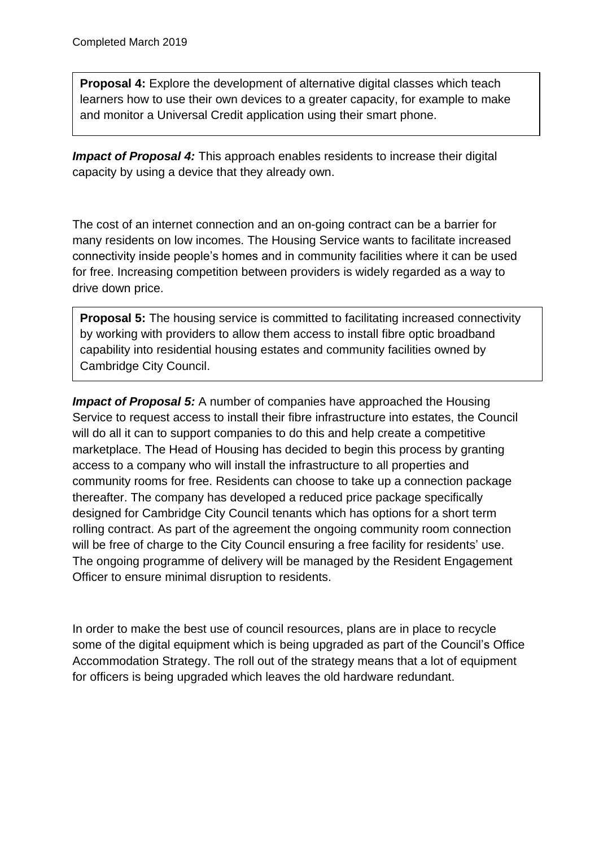**Proposal 4:** Explore the development of alternative digital classes which teach learners how to use their own devices to a greater capacity, for example to make and monitor a Universal Credit application using their smart phone.

**Impact of Proposal 4:** This approach enables residents to increase their digital capacity by using a device that they already own.

The cost of an internet connection and an on-going contract can be a barrier for many residents on low incomes. The Housing Service wants to facilitate increased connectivity inside people's homes and in community facilities where it can be used for free. Increasing competition between providers is widely regarded as a way to drive down price.

**Proposal 5:** The housing service is committed to facilitating increased connectivity by working with providers to allow them access to install fibre optic broadband capability into residential housing estates and community facilities owned by Cambridge City Council.

*Impact of Proposal 5:* A number of companies have approached the Housing Service to request access to install their fibre infrastructure into estates, the Council will do all it can to support companies to do this and help create a competitive marketplace. The Head of Housing has decided to begin this process by granting access to a company who will install the infrastructure to all properties and community rooms for free. Residents can choose to take up a connection package thereafter. The company has developed a reduced price package specifically designed for Cambridge City Council tenants which has options for a short term rolling contract. As part of the agreement the ongoing community room connection will be free of charge to the City Council ensuring a free facility for residents' use. The ongoing programme of delivery will be managed by the Resident Engagement Officer to ensure minimal disruption to residents.

In order to make the best use of council resources, plans are in place to recycle some of the digital equipment which is being upgraded as part of the Council's Office Accommodation Strategy. The roll out of the strategy means that a lot of equipment for officers is being upgraded which leaves the old hardware redundant.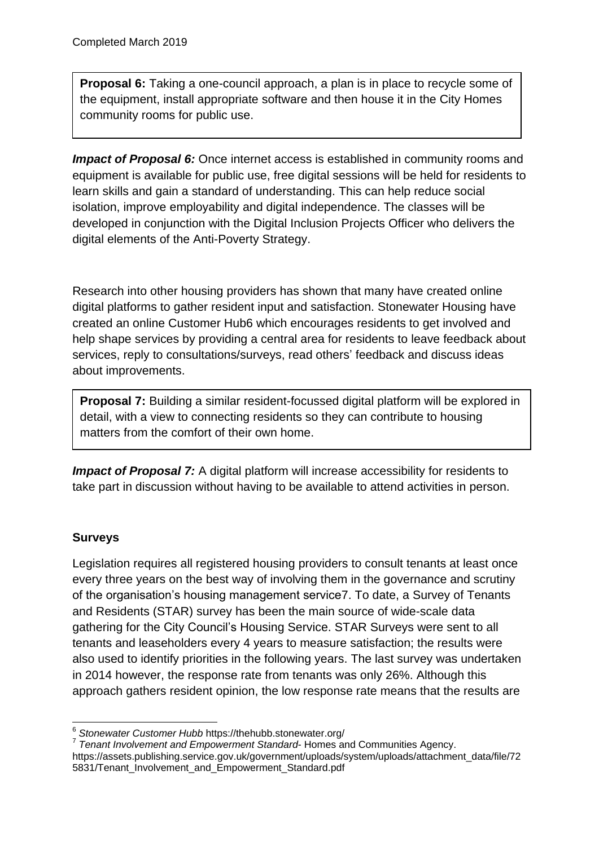**Proposal 6:** Taking a one-council approach, a plan is in place to recycle some of the equipment, install appropriate software and then house it in the City Homes community rooms for public use.

**Impact of Proposal 6:** Once internet access is established in community rooms and equipment is available for public use, free digital sessions will be held for residents to learn skills and gain a standard of understanding. This can help reduce social isolation, improve employability and digital independence. The classes will be developed in conjunction with the Digital Inclusion Projects Officer who delivers the digital elements of the Anti-Poverty Strategy.

Research into other housing providers has shown that many have created online digital platforms to gather resident input and satisfaction. Stonewater Housing have created an online Customer Hub6 which encourages residents to get involved and help shape services by providing a central area for residents to leave feedback about services, reply to consultations/surveys, read others' feedback and discuss ideas about improvements.

**Proposal 7:** Building a similar resident-focussed digital platform will be explored in detail, with a view to connecting residents so they can contribute to housing matters from the comfort of their own home.

*Impact of Proposal 7:* A digital platform will increase accessibility for residents to take part in discussion without having to be available to attend activities in person.

# **Surveys**

Legislation requires all registered housing providers to consult tenants at least once every three years on the best way of involving them in the governance and scrutiny of the organisation's housing management service7. To date, a Survey of Tenants and Residents (STAR) survey has been the main source of wide-scale data gathering for the City Council's Housing Service. STAR Surveys were sent to all tenants and leaseholders every 4 years to measure satisfaction; the results were also used to identify priorities in the following years. The last survey was undertaken in 2014 however, the response rate from tenants was only 26%. Although this approach gathers resident opinion, the low response rate means that the results are

<sup>1</sup> <sup>6</sup> *Stonewater Customer Hubb* https://thehubb.stonewater.org/

<sup>7</sup> *Tenant Involvement and Empowerment Standard*- Homes and Communities Agency. https://assets.publishing.service.gov.uk/government/uploads/system/uploads/attachment\_data/file/72 5831/Tenant\_Involvement\_and\_Empowerment\_Standard.pdf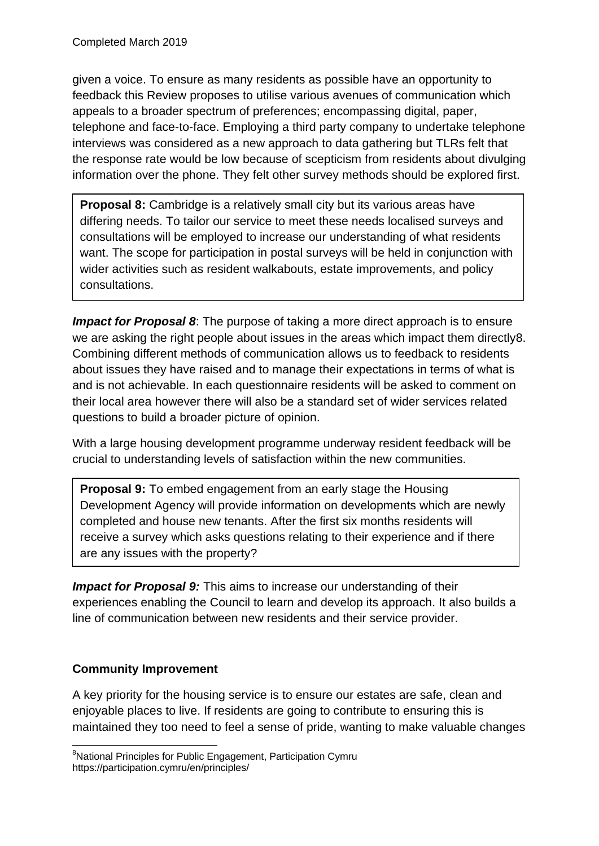given a voice. To ensure as many residents as possible have an opportunity to feedback this Review proposes to utilise various avenues of communication which appeals to a broader spectrum of preferences; encompassing digital, paper, telephone and face-to-face. Employing a third party company to undertake telephone interviews was considered as a new approach to data gathering but TLRs felt that the response rate would be low because of scepticism from residents about divulging information over the phone. They felt other survey methods should be explored first.

**Proposal 8:** Cambridge is a relatively small city but its various areas have differing needs. To tailor our service to meet these needs localised surveys and consultations will be employed to increase our understanding of what residents want. The scope for participation in postal surveys will be held in conjunction with wider activities such as resident walkabouts, estate improvements, and policy consultations.

**Impact for Proposal 8:** The purpose of taking a more direct approach is to ensure we are asking the right people about issues in the areas which impact them directly8. Combining different methods of communication allows us to feedback to residents about issues they have raised and to manage their expectations in terms of what is and is not achievable. In each questionnaire residents will be asked to comment on their local area however there will also be a standard set of wider services related questions to build a broader picture of opinion.

With a large housing development programme underway resident feedback will be crucial to understanding levels of satisfaction within the new communities.

**Proposal 9:** To embed engagement from an early stage the Housing Development Agency will provide information on developments which are newly completed and house new tenants. After the first six months residents will receive a survey which asks questions relating to their experience and if there are any issues with the property?

**Impact for Proposal 9:** This aims to increase our understanding of their experiences enabling the Council to learn and develop its approach. It also builds a line of communication between new residents and their service provider.

## **Community Improvement**

A key priority for the housing service is to ensure our estates are safe, clean and enjoyable places to live. If residents are going to contribute to ensuring this is maintained they too need to feel a sense of pride, wanting to make valuable changes

<sup>1</sup> <sup>8</sup>National Principles for Public Engagement, Participation Cymru https://participation.cymru/en/principles/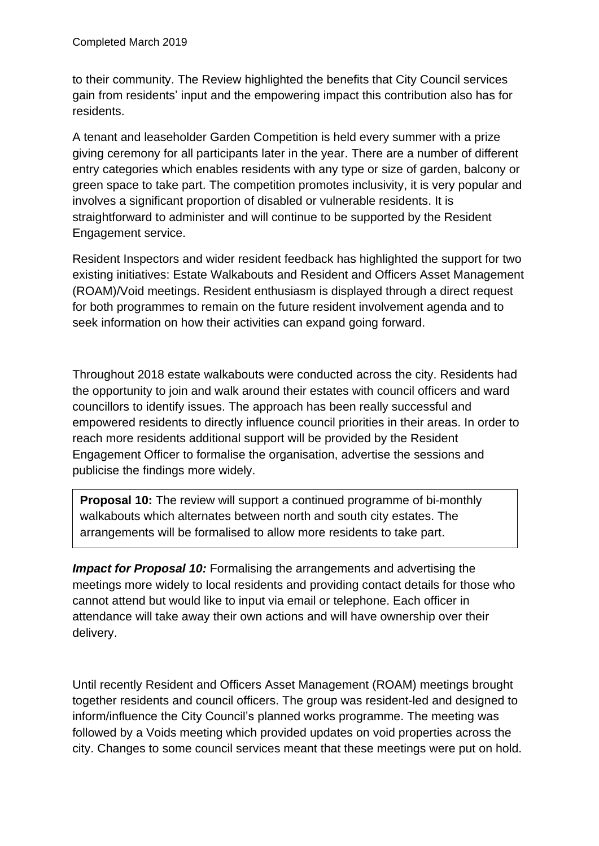to their community. The Review highlighted the benefits that City Council services gain from residents' input and the empowering impact this contribution also has for residents.

A tenant and leaseholder Garden Competition is held every summer with a prize giving ceremony for all participants later in the year. There are a number of different entry categories which enables residents with any type or size of garden, balcony or green space to take part. The competition promotes inclusivity, it is very popular and involves a significant proportion of disabled or vulnerable residents. It is straightforward to administer and will continue to be supported by the Resident Engagement service.

Resident Inspectors and wider resident feedback has highlighted the support for two existing initiatives: Estate Walkabouts and Resident and Officers Asset Management (ROAM)/Void meetings. Resident enthusiasm is displayed through a direct request for both programmes to remain on the future resident involvement agenda and to seek information on how their activities can expand going forward.

Throughout 2018 estate walkabouts were conducted across the city. Residents had the opportunity to join and walk around their estates with council officers and ward councillors to identify issues. The approach has been really successful and empowered residents to directly influence council priorities in their areas. In order to reach more residents additional support will be provided by the Resident Engagement Officer to formalise the organisation, advertise the sessions and publicise the findings more widely.

**Proposal 10:** The review will support a continued programme of bi-monthly walkabouts which alternates between north and south city estates. The arrangements will be formalised to allow more residents to take part.

*Impact for Proposal 10:* Formalising the arrangements and advertising the meetings more widely to local residents and providing contact details for those who cannot attend but would like to input via email or telephone. Each officer in attendance will take away their own actions and will have ownership over their delivery.

Until recently Resident and Officers Asset Management (ROAM) meetings brought together residents and council officers. The group was resident-led and designed to inform/influence the City Council's planned works programme. The meeting was followed by a Voids meeting which provided updates on void properties across the city. Changes to some council services meant that these meetings were put on hold.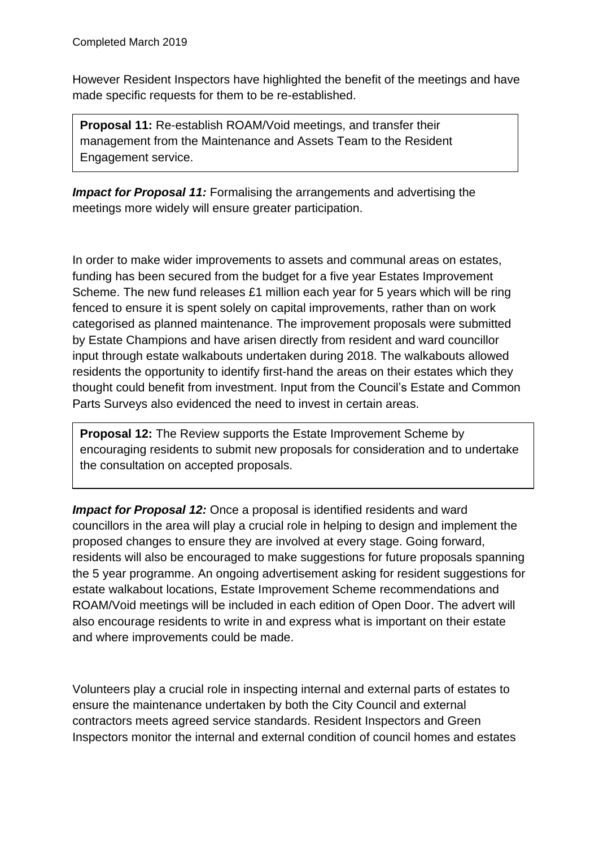However Resident Inspectors have highlighted the benefit of the meetings and have made specific requests for them to be re-established.

**Proposal 11:** Re-establish ROAM/Void meetings, and transfer their management from the Maintenance and Assets Team to the Resident Engagement service.

**Impact for Proposal 11:** Formalising the arrangements and advertising the meetings more widely will ensure greater participation.

In order to make wider improvements to assets and communal areas on estates, funding has been secured from the budget for a five year Estates Improvement Scheme. The new fund releases £1 million each year for 5 years which will be ring fenced to ensure it is spent solely on capital improvements, rather than on work categorised as planned maintenance. The improvement proposals were submitted by Estate Champions and have arisen directly from resident and ward councillor input through estate walkabouts undertaken during 2018. The walkabouts allowed residents the opportunity to identify first-hand the areas on their estates which they thought could benefit from investment. Input from the Council's Estate and Common Parts Surveys also evidenced the need to invest in certain areas.

**Proposal 12:** The Review supports the Estate Improvement Scheme by encouraging residents to submit new proposals for consideration and to undertake the consultation on accepted proposals.

*Impact for Proposal 12:* Once a proposal is identified residents and ward councillors in the area will play a crucial role in helping to design and implement the proposed changes to ensure they are involved at every stage. Going forward, residents will also be encouraged to make suggestions for future proposals spanning the 5 year programme. An ongoing advertisement asking for resident suggestions for estate walkabout locations, Estate Improvement Scheme recommendations and ROAM/Void meetings will be included in each edition of Open Door. The advert will also encourage residents to write in and express what is important on their estate and where improvements could be made.

Volunteers play a crucial role in inspecting internal and external parts of estates to ensure the maintenance undertaken by both the City Council and external contractors meets agreed service standards. Resident Inspectors and Green Inspectors monitor the internal and external condition of council homes and estates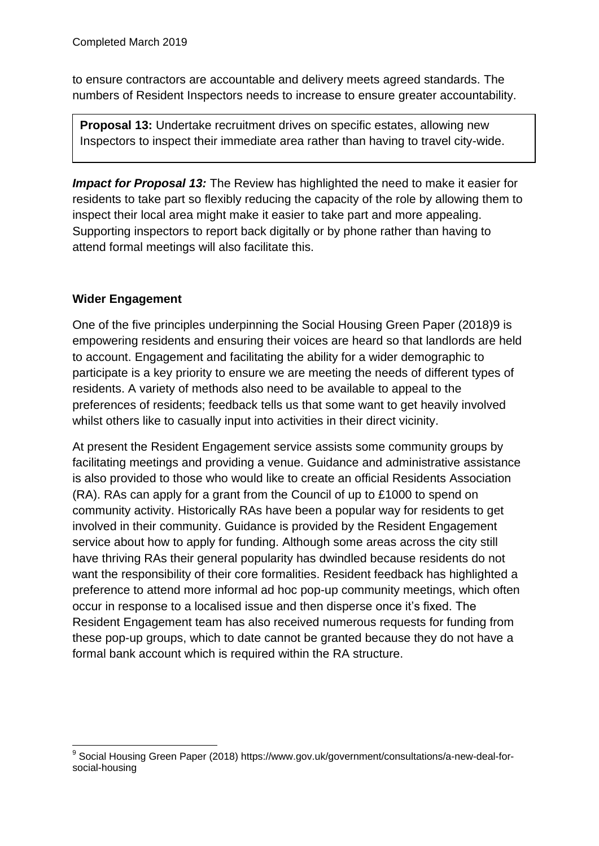to ensure contractors are accountable and delivery meets agreed standards. The numbers of Resident Inspectors needs to increase to ensure greater accountability.

**Proposal 13:** Undertake recruitment drives on specific estates, allowing new Inspectors to inspect their immediate area rather than having to travel city-wide.

*Impact for Proposal 13:* The Review has highlighted the need to make it easier for residents to take part so flexibly reducing the capacity of the role by allowing them to inspect their local area might make it easier to take part and more appealing. Supporting inspectors to report back digitally or by phone rather than having to attend formal meetings will also facilitate this.

## **Wider Engagement**

One of the five principles underpinning the Social Housing Green Paper (2018)9 is empowering residents and ensuring their voices are heard so that landlords are held to account. Engagement and facilitating the ability for a wider demographic to participate is a key priority to ensure we are meeting the needs of different types of residents. A variety of methods also need to be available to appeal to the preferences of residents; feedback tells us that some want to get heavily involved whilst others like to casually input into activities in their direct vicinity.

At present the Resident Engagement service assists some community groups by facilitating meetings and providing a venue. Guidance and administrative assistance is also provided to those who would like to create an official Residents Association (RA). RAs can apply for a grant from the Council of up to £1000 to spend on community activity. Historically RAs have been a popular way for residents to get involved in their community. Guidance is provided by the Resident Engagement service about how to apply for funding. Although some areas across the city still have thriving RAs their general popularity has dwindled because residents do not want the responsibility of their core formalities. Resident feedback has highlighted a preference to attend more informal ad hoc pop-up community meetings, which often occur in response to a localised issue and then disperse once it's fixed. The Resident Engagement team has also received numerous requests for funding from these pop-up groups, which to date cannot be granted because they do not have a formal bank account which is required within the RA structure.

<sup>1</sup> <sup>9</sup> Social Housing Green Paper (2018) https://www.gov.uk/government/consultations/a-new-deal-forsocial-housing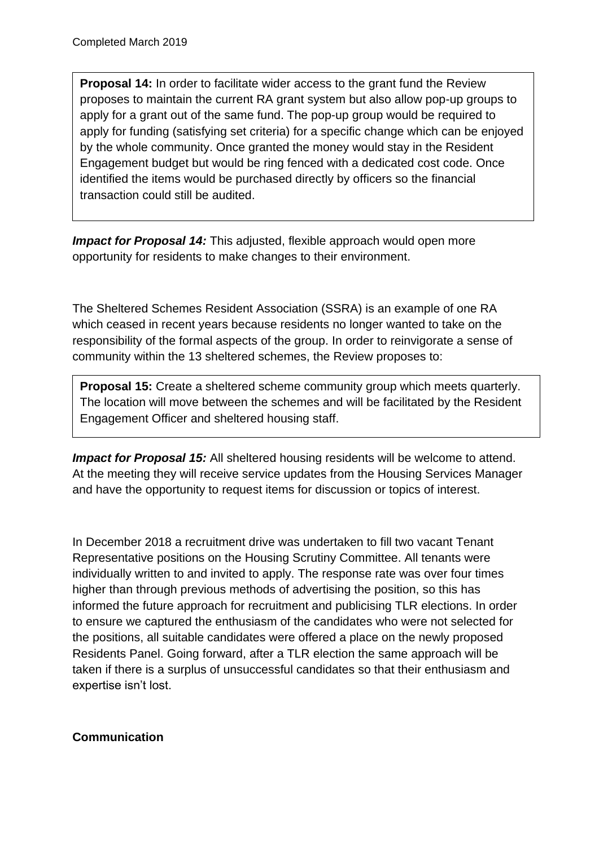**Proposal 14:** In order to facilitate wider access to the grant fund the Review proposes to maintain the current RA grant system but also allow pop-up groups to apply for a grant out of the same fund. The pop-up group would be required to apply for funding (satisfying set criteria) for a specific change which can be enjoyed by the whole community. Once granted the money would stay in the Resident Engagement budget but would be ring fenced with a dedicated cost code. Once identified the items would be purchased directly by officers so the financial transaction could still be audited.

*Impact for Proposal 14:* This adjusted, flexible approach would open more opportunity for residents to make changes to their environment.

The Sheltered Schemes Resident Association (SSRA) is an example of one RA which ceased in recent years because residents no longer wanted to take on the responsibility of the formal aspects of the group. In order to reinvigorate a sense of community within the 13 sheltered schemes, the Review proposes to:

**Proposal 15:** Create a sheltered scheme community group which meets quarterly. The location will move between the schemes and will be facilitated by the Resident Engagement Officer and sheltered housing staff.

**Impact for Proposal 15:** All sheltered housing residents will be welcome to attend. At the meeting they will receive service updates from the Housing Services Manager and have the opportunity to request items for discussion or topics of interest.

In December 2018 a recruitment drive was undertaken to fill two vacant Tenant Representative positions on the Housing Scrutiny Committee. All tenants were individually written to and invited to apply. The response rate was over four times higher than through previous methods of advertising the position, so this has informed the future approach for recruitment and publicising TLR elections. In order to ensure we captured the enthusiasm of the candidates who were not selected for the positions, all suitable candidates were offered a place on the newly proposed Residents Panel. Going forward, after a TLR election the same approach will be taken if there is a surplus of unsuccessful candidates so that their enthusiasm and expertise isn't lost.

## **Communication**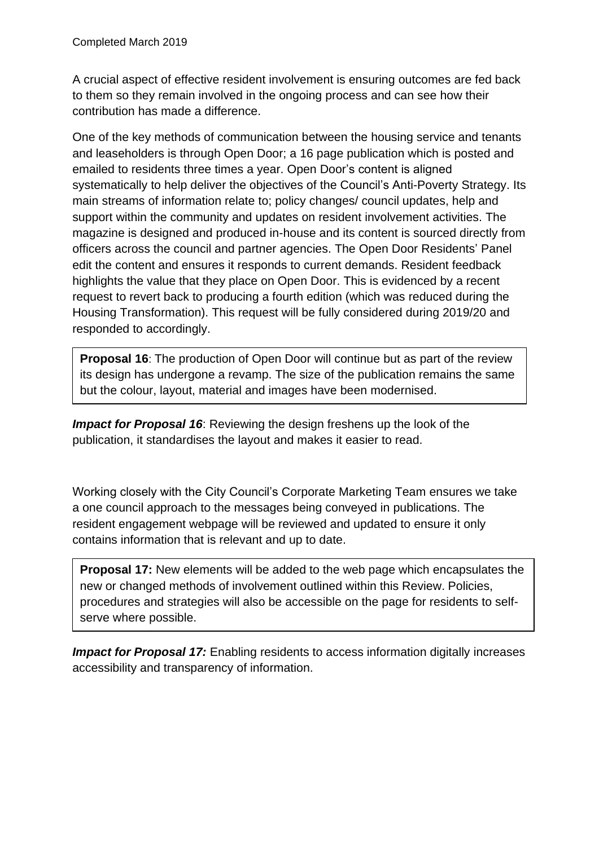A crucial aspect of effective resident involvement is ensuring outcomes are fed back to them so they remain involved in the ongoing process and can see how their contribution has made a difference.

One of the key methods of communication between the housing service and tenants and leaseholders is through Open Door; a 16 page publication which is posted and emailed to residents three times a year. Open Door's content is aligned systematically to help deliver the objectives of the Council's Anti-Poverty Strategy. Its main streams of information relate to; policy changes/ council updates, help and support within the community and updates on resident involvement activities. The magazine is designed and produced in-house and its content is sourced directly from officers across the council and partner agencies. The Open Door Residents' Panel edit the content and ensures it responds to current demands. Resident feedback highlights the value that they place on Open Door. This is evidenced by a recent request to revert back to producing a fourth edition (which was reduced during the Housing Transformation). This request will be fully considered during 2019/20 and responded to accordingly.

**Proposal 16**: The production of Open Door will continue but as part of the review its design has undergone a revamp. The size of the publication remains the same but the colour, layout, material and images have been modernised.

*Impact for Proposal 16:* Reviewing the design freshens up the look of the publication, it standardises the layout and makes it easier to read.

Working closely with the City Council's Corporate Marketing Team ensures we take a one council approach to the messages being conveyed in publications. The resident engagement webpage will be reviewed and updated to ensure it only contains information that is relevant and up to date.

**Proposal 17:** New elements will be added to the web page which encapsulates the new or changed methods of involvement outlined within this Review. Policies, procedures and strategies will also be accessible on the page for residents to selfserve where possible.

**Impact for Proposal 17:** Enabling residents to access information digitally increases accessibility and transparency of information.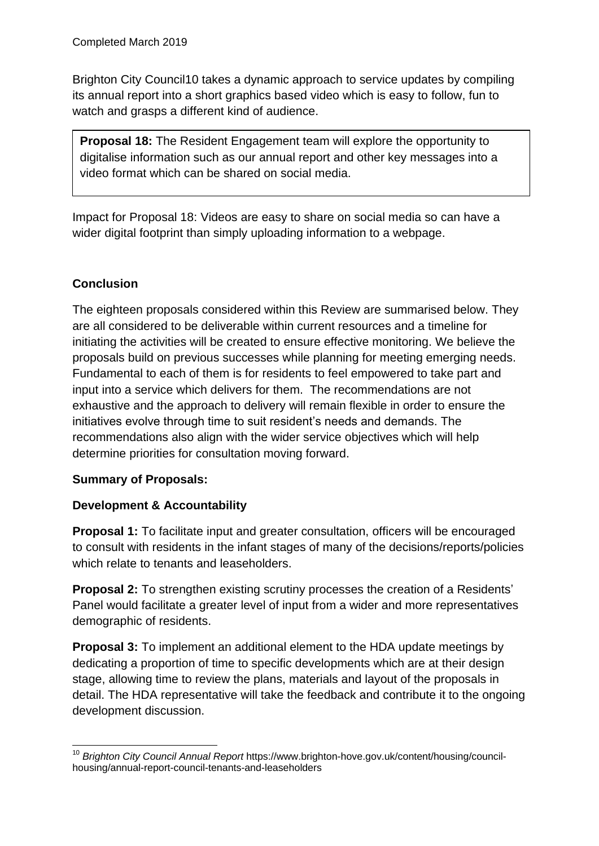Brighton City Council10 takes a dynamic approach to service updates by compiling its annual report into a short graphics based video which is easy to follow, fun to watch and grasps a different kind of audience.

**Proposal 18:** The Resident Engagement team will explore the opportunity to digitalise information such as our annual report and other key messages into a video format which can be shared on social media.

Impact for Proposal 18: Videos are easy to share on social media so can have a wider digital footprint than simply uploading information to a webpage.

## **Conclusion**

The eighteen proposals considered within this Review are summarised below. They are all considered to be deliverable within current resources and a timeline for initiating the activities will be created to ensure effective monitoring. We believe the proposals build on previous successes while planning for meeting emerging needs. Fundamental to each of them is for residents to feel empowered to take part and input into a service which delivers for them. The recommendations are not exhaustive and the approach to delivery will remain flexible in order to ensure the initiatives evolve through time to suit resident's needs and demands. The recommendations also align with the wider service objectives which will help determine priorities for consultation moving forward.

## **Summary of Proposals:**

## **Development & Accountability**

**Proposal 1:** To facilitate input and greater consultation, officers will be encouraged to consult with residents in the infant stages of many of the decisions/reports/policies which relate to tenants and leaseholders.

**Proposal 2:** To strengthen existing scrutiny processes the creation of a Residents' Panel would facilitate a greater level of input from a wider and more representatives demographic of residents.

**Proposal 3:** To implement an additional element to the HDA update meetings by dedicating a proportion of time to specific developments which are at their design stage, allowing time to review the plans, materials and layout of the proposals in detail. The HDA representative will take the feedback and contribute it to the ongoing development discussion.

<sup>1</sup> <sup>10</sup> *Brighton City Council Annual Report* https://www.brighton-hove.gov.uk/content/housing/councilhousing/annual-report-council-tenants-and-leaseholders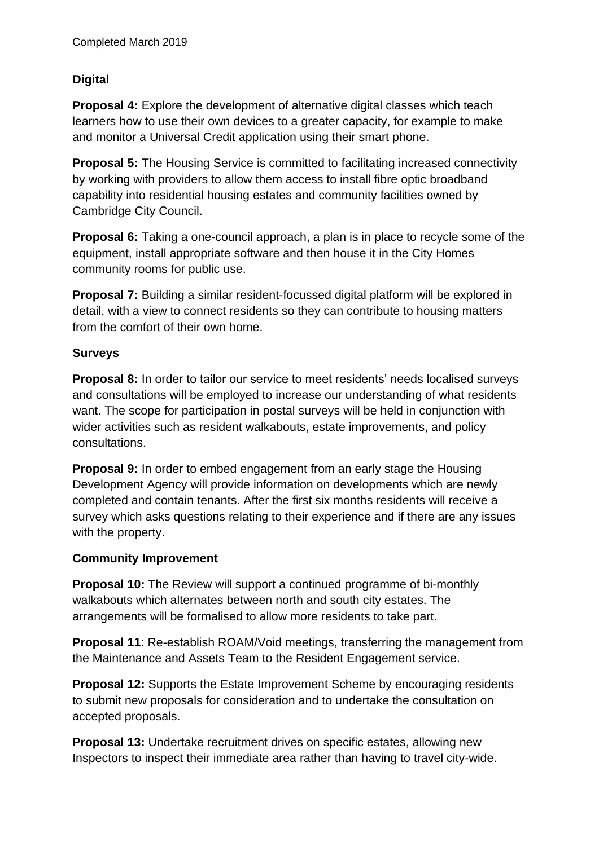## **Digital**

**Proposal 4:** Explore the development of alternative digital classes which teach learners how to use their own devices to a greater capacity, for example to make and monitor a Universal Credit application using their smart phone.

**Proposal 5:** The Housing Service is committed to facilitating increased connectivity by working with providers to allow them access to install fibre optic broadband capability into residential housing estates and community facilities owned by Cambridge City Council.

**Proposal 6:** Taking a one-council approach, a plan is in place to recycle some of the equipment, install appropriate software and then house it in the City Homes community rooms for public use.

**Proposal 7:** Building a similar resident-focussed digital platform will be explored in detail, with a view to connect residents so they can contribute to housing matters from the comfort of their own home.

#### **Surveys**

**Proposal 8:** In order to tailor our service to meet residents' needs localised surveys and consultations will be employed to increase our understanding of what residents want. The scope for participation in postal surveys will be held in conjunction with wider activities such as resident walkabouts, estate improvements, and policy consultations.

**Proposal 9:** In order to embed engagement from an early stage the Housing Development Agency will provide information on developments which are newly completed and contain tenants. After the first six months residents will receive a survey which asks questions relating to their experience and if there are any issues with the property.

#### **Community Improvement**

**Proposal 10:** The Review will support a continued programme of bi-monthly walkabouts which alternates between north and south city estates. The arrangements will be formalised to allow more residents to take part.

**Proposal 11:** Re-establish ROAM/Void meetings, transferring the management from the Maintenance and Assets Team to the Resident Engagement service.

**Proposal 12:** Supports the Estate Improvement Scheme by encouraging residents to submit new proposals for consideration and to undertake the consultation on accepted proposals.

**Proposal 13:** Undertake recruitment drives on specific estates, allowing new Inspectors to inspect their immediate area rather than having to travel city-wide.